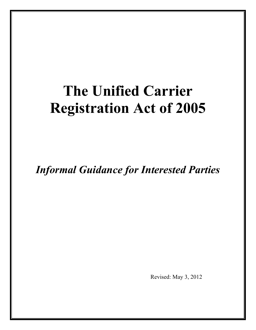# **The Unified Carrier Registration Act of 2005**

*Informal Guidance for Interested Parties* 

Revised: May 3, 2012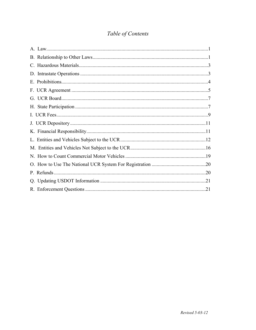## Table of Contents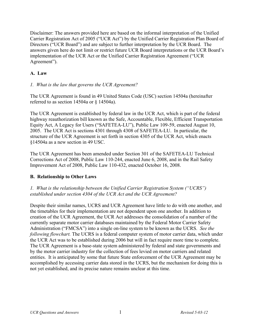<span id="page-2-0"></span>Disclaimer: The answers provided here are based on the informal interpretation of the Unified Carrier Registration Act of 2005 ("UCR Act") by the Unified Carrier Registration Plan Board of Directors ("UCR Board") and are subject to further interpretation by the UCR Board. The answers given here do not limit or restrict future UCR Board interpretations or the UCR Board's implementation of the UCR Act or the Unified Carrier Registration Agreement ("UCR Agreement").

#### <span id="page-2-1"></span>**A. Law**

#### *1. What is the law that governs the UCR Agreement?*

The UCR Agreement is found in 49 United States Code (USC) section 14504a (hereinafter referred to as section 14504a or § 14504a).

The UCR Agreement is established by federal law in the UCR Act, which is part of the federal highway reauthorization bill known as the Safe, Accountable, Flexible, Efficient Transportation Equity Act, A Legacy for Users ("SAFETEA-LU"), Public Law 109-59, enacted August 10, 2005. The UCR Act is sections 4301 through 4308 of SAFETEA-LU. In particular, the structure of the UCR Agreement is set forth in section 4305 of the UCR Act, which enacts §14504a as a new section in 49 USC.

The UCR Agreement has been amended under Section 301 of the SAFETEA-LU Technical Corrections Act of 2008, Public Law 110-244, enacted June 6, 2008, and in the Rail Safety Improvement Act of 2008, Public Law 110-432, enacted October 16, 2008.

#### <span id="page-2-2"></span>**B. Relationship to Other Laws**

*1. What is the relationship between the Unified Carrier Registration System ("UCRS") established under section 4304 of the UCR Act and the UCR Agreement?* 

Despite their similar names, UCRS and UCR Agreement have little to do with one another, and the timetables for their implementation are not dependent upon one another. In addition to creation of the UCR Agreement, the UCR Act addresses the consolidation of a number of the currently separate motor carrier databases maintained by the Federal Motor Carrier Safety Administration ("FMCSA") into a single on-line system to be known as the UCRS. *See the following flowchart.* The UCRS is a federal computer system of motor carrier data, which under the UCR Act was to be established during 2006 but will in fact require more time to complete. The UCR Agreement is a base-state system administered by federal and state governments and by the motor carrier industry for the collection of fees levied on motor carriers and related entities. It is anticipated by some that future State enforcement of the UCR Agreement may be accomplished by accessing carrier data stored in the UCRS, but the mechanism for doing this is not yet established, and its precise nature remains unclear at this time.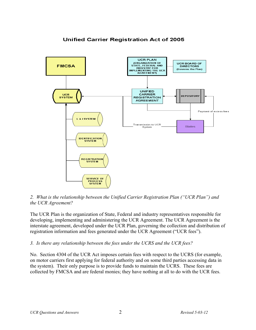

## **Unified Carrier Registration Act of 2005**

*2. What is the relationship between the Unified Carrier Registration Plan ("UCR Plan") and the UCR Agreement?* 

The UCR Plan is the organization of State, Federal and industry representatives responsible for developing, implementing and administering the UCR Agreement. The UCR Agreement is the interstate agreement, developed under the UCR Plan, governing the collection and distribution of registration information and fees generated under the UCR Agreement ("UCR fees").

#### *3. Is there any relationship between the fees under the UCRS and the UCR fees?*

No. Section 4304 of the UCR Act imposes certain fees with respect to the UCRS (for example, on motor carriers first applying for federal authority and on some third parties accessing data in the system). Their only purpose is to provide funds to maintain the UCRS. These fees are collected by FMCSA and are federal monies; they have nothing at all to do with the UCR fees.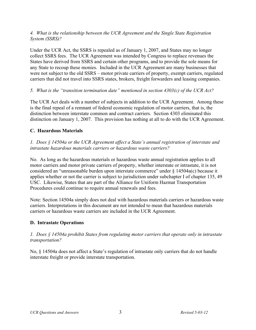#### <span id="page-4-0"></span>*4. What is the relationship between the UCR Agreement and the Single State Registration System (SSRS)?*

Under the UCR Act, the SSRS is repealed as of January 1, 2007, and States may no longer collect SSRS fees. The UCR Agreement was intended by Congress to replace revenues the States have derived from SSRS and certain other programs, and to provide the sole means for any State to recoup these monies. Included in the UCR Agreement are many businesses that were not subject to the old SSRS – motor private carriers of property, exempt carriers, regulated carriers that did not travel into SSRS states, brokers, freight forwarders and leasing companies.

#### *5. What is the "transition termination date" mentioned in section 4303(c) of the UCR Act?*

The UCR Act deals with a number of subjects in addition to the UCR Agreement. Among these is the final repeal of a remnant of federal economic regulation of motor carriers, that is, the distinction between interstate common and contract carriers. Section 4303 eliminated this distinction on January 1, 2007. This provision has nothing at all to do with the UCR Agreement.

#### <span id="page-4-1"></span>**C. Hazardous Materials**

*1. Does § 14504a or the UCR Agreement affect a State's annual registration of interstate and intrastate hazardous materials carriers or hazardous waste carriers?* 

No. As long as the hazardous materials or hazardous waste annual registration applies to all motor carriers and motor private carriers of property, whether interstate or intrastate, it is not considered an "unreasonable burden upon interstate commerce" under § 14504a(c) because it applies whether or not the carrier is subject to jurisdiction under subchapter I of chapter 135, 49 USC. Likewise, States that are part of the Alliance for Uniform Hazmat Transportation Procedures could continue to require annual renewals and fees.

Note: Section 14504a simply does not deal with hazardous materials carriers or hazardous waste carriers. Interpretations in this document are not intended to mean that hazardous materials carriers or hazardous waste carriers are included in the UCR Agreement.

#### <span id="page-4-2"></span>**D. Intrastate Operations**

*1. Does § 14504a prohibit States from regulating motor carriers that operate only in intrastate transportation?* 

No, § 14504a does not affect a State's regulation of intrastate only carriers that do not handle interstate freight or provide interstate transportation.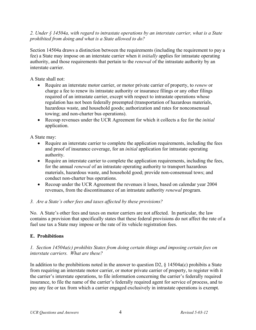#### <span id="page-5-0"></span>*2. Under § 14504a, with regard to intrastate operations by an interstate carrier, what is a State prohibited from doing and what is a State allowed to do?*

Section 14504a draws a distinction between the requirements (including the requirement to pay a fee) a State may impose on an interstate carrier when it *initially* applies for intrastate operating authority, and those requirements that pertain to the *renewal* of the intrastate authority by an interstate carrier.

A State shall not:

- Require an interstate motor carrier, or motor private carrier of property, to *renew* or charge a fee to renew its intrastate authority or insurance filings or any other filings required of an intrastate carrier, except with respect to intrastate operations whose regulation has not been federally preempted (transportation of hazardous materials, hazardous waste, and household goods; authorization and rates for nonconsensual towing; and non-charter bus operations).
- Recoup revenues under the UCR Agreement for which it collects a fee for the *initial* application.

A State may:

- Require an interstate carrier to complete the application requirements, including the fees and proof of insurance coverage, for an *initial* application for intrastate operating authority.
- Require an interstate carrier to complete the application requirements, including the fees, for the annual *renewal* of an intrastate operating authority to transport hazardous materials, hazardous waste, and household good; provide non-consensual tows; and conduct non-charter bus operations.
- Recoup under the UCR Agreement the revenues it loses, based on calendar year 2004 revenues, from the discontinuance of an intrastate authority *renewal* program.

#### *3. Are a State's other fees and taxes affected by these provisions?*

No. A State's other fees and taxes on motor carriers are not affected. In particular, the law contains a provision that specifically states that these federal provisions do not affect the rate of a fuel use tax a State may impose or the rate of its vehicle registration fees.

#### <span id="page-5-1"></span>**E. Prohibitions**

#### *1. Section 14504a(c) prohibits States from doing certain things and imposing certain fees on interstate carriers. What are these?*

In addition to the prohibitions noted in the answer to question D2,  $\S$  14504a(c) prohibits a State from requiring an interstate motor carrier, or motor private carrier of property, to register with it the carrier's interstate operations, to file information concerning the carrier's federally required insurance, to file the name of the carrier's federally required agent for service of process, and to pay any fee or tax from which a carrier engaged exclusively in intrastate operations is exempt.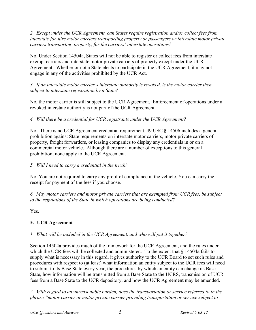<span id="page-6-0"></span>*2. Except under the UCR Agreement, can States require registration and/or collect fees from interstate for-hire motor carriers transporting property or passengers or interstate motor private carriers transporting property, for the carriers' interstate operations?*

No. Under Section 14504a, States will not be able to register or collect fees from interstate exempt carriers and interstate motor private carriers of property except under the UCR Agreement. Whether or not a State elects to participate in the UCR Agreement, it may not engage in any of the activities prohibited by the UCR Act.

*3. If an interstate motor carrier's interstate authority is revoked, is the motor carrier then subject to interstate registration by a State?*

No, the motor carrier is still subject to the UCR Agreement. Enforcement of operations under a revoked interstate authority is not part of the UCR Agreement.

*4. Will there be a credential for UCR registrants under the UCR Agreement?* 

No. There is no UCR Agreement credential requirement. 49 USC § 14506 includes a general prohibition against State requirements on interstate motor carriers, motor private carriers of property, freight forwarders, or leasing companies to display any credentials in or on a commercial motor vehicle. Although there are a number of exceptions to this general prohibition, none apply to the UCR Agreement.

## *5. Will I need to carry a credential in the truck?*

No. You are not required to carry any proof of compliance in the vehicle. You can carry the receipt for payment of the fees if you choose.

*6. May motor carriers and motor private carriers that are exempted from UCR fees, be subject to the regulations of the State in which operations are being conducted?*

Yes.

## <span id="page-6-1"></span>**F. UCR Agreement**

## *1. What will be included in the UCR Agreement, and who will put it together?*

Section 14504a provides much of the framework for the UCR Agreement, and the rules under which the UCR fees will be collected and administered. To the extent that § 14504a fails to supply what is necessary in this regard, it gives authority to the UCR Board to set such rules and procedures with respect to (at least) what information an entity subject to the UCR fees will need to submit to its Base State every year, the procedures by which an entity can change its Base State, how information will be transmitted from a Base State to the UCRS, transmission of UCR fees from a Base State to the UCR depository, and how the UCR Agreement may be amended.

*2. With regard to an unreasonable burden, does the transportation or service referred to in the phrase "motor carrier or motor private carrier providing transportation or service subject to*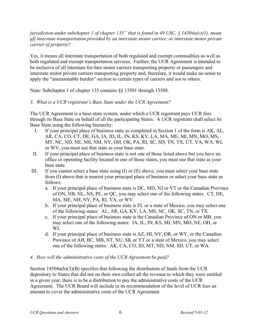*jurisdiction under subchapter 1 of chapter 135" that is found in 49 USC, § 14504a(c)(1), mean all interstate transportation provided by an interstate motor carrier, or interstate motor private carrier of property?* 

Yes, it means all interstate transportation of both regulated and exempt commodities as well as both regulated and exempt transportation services. Further, the UCR Agreement is intended to be inclusive of all interstate for-hire motor carriers transporting property or passengers and interstate motor private carriers transporting property and, therefore, it would make no sense to apply the "unreasonable burden" section to certain types of carriers and not to others.

Note: Subchapter 1 of chapter 135 contains §§ 13501 through 13508.

## *3. What is a UCR registrant's Base State under the UCR Agreement?*

The UCR Agreement is a base-state system, under which a UCR registrant pays UCR fees through its Base State on behalf of all the participating States. A UCR registrant shall select its Base State using the following hierarchy:

- I. If your principal place of business state as completed in Section 1 of the form is AK, AL, AR, CA, CO, CT, DE, GA, IA, ID, IL, IN, KS, KY, LA, MA, ME, MI, MN, MO, MS, MT, NC, ND, NE, NH, NM, NY, OH, OK, PA, RI, SC, SD, TN, TX, UT, VA, WA, WI, or WV, you must use that state as your base state.
- II. If your principal place of business state is not one of those listed above but you have an office or operating facility located in one of those states, you must use that state as your base state.
- III. If you cannot select a base state using (I) or (II) above, you must select your base state from (I) above that is nearest your principal place of business or select your base state as follows:
	- a. If your principal place of business state is DC, MD, NJ or VT or the Canadian Province of ON, NB, NL, NS, PE, or QC, you may select one of the following states: CT, DE, MA, ME, NH, NY, PA, RI, VA, or WV.
	- b. If your principal place of business state is FL or a state of Mexico, you may select one of the following states: AL, AR, GA, KY, LA, MS, NC, OK, SC, TN, or TX.
	- c. If your principal place of business state is the Canadian Province of ON or MB, you may select one of the following states: IA, IL, IN, KS, MI, MN, MO, NE, OH, or WI.
	- d. If your principal place of business state is AZ, HI, NV, OR, or WY, or the Canadian Province of AB, BC, MB, NT, NU, SK or YT or a state of Mexico, you may select one of the following states: AK, CA, CO, ID, MT, ND, NM, SD, UT, or WA.

#### *4. How will the administrative costs of the UCR Agreement be paid?*

Section 14504a(h)(3)(B) specifies that following the distribution of funds from the UCR depository to States that did not on their own collect all the revenue to which they were entitled in a given year, there is to be a distribution to pay the administrative costs of the UCR Agreement. The UCR Board will include in its recommendation of the level of UCR fees an amount to cover the administrative costs of the UCR Agreement.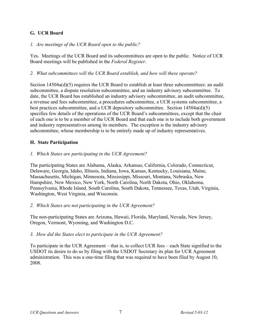## <span id="page-8-1"></span><span id="page-8-0"></span>**G. UCR Board**

#### *1. Are meetings of the UCR Board open to the public?*

Yes. Meetings of the UCR Board and its subcommittees are open to the public. Notice of UCR Board meetings will be published in the *Federal Register*.

#### *2. What subcommittees will the UCR Board establish, and how will these operate?*

Section 14504a(d)(5) requires the UCR Board to establish at least three subcommittees: an audit subcommittee, a dispute resolution subcommittee, and an industry advisory subcommittee. To date, the UCR Board has established an industry advisory subcommittee, an audit subcommittee, a revenue and fees subcommittee, a procedures subcommittee, a UCR systems subcommittee, a best practices subcommittee, and a UCR depository subcommittee. Section 14504a(d)(5) specifies few details of the operations of the UCR Board's subcommittees, except that the chair of each one is to be a member of the UCR Board and that each one is to include both government and industry representatives among its members. The exception is the industry advisory subcommittee, whose membership is to be entirely made up of industry representatives.

#### <span id="page-8-2"></span>**H. State Participation**

#### *1. Which States are participating in the UCR Agreement?*

The participating States are Alabama, Alaska, Arkansas, California, Colorado, Connecticut, Delaware, Georgia, Idaho, Illinois, Indiana, Iowa, Kansas, Kentucky, Louisiana, Maine, Massachusetts, Michigan, Minnesota, Mississippi, Missouri, Montana, Nebraska, New Hampshire, New Mexico, New York, North Carolina, North Dakota, Ohio, Oklahoma, Pennsylvania, Rhode Island, South Carolina, South Dakota, Tennessee, Texas, Utah, Virginia, Washington, West Virginia, and Wisconsin.

#### *2. Which States are not participating in the UCR Agreement?*

The non-participating States are Arizona, Hawaii, Florida, Maryland, Nevada, New Jersey, Oregon, Vermont, Wyoming, and Washington D.C.

#### *3. How did the States elect to participate in the UCR Agreement?*

To participate in the UCR Agreement – that is, to collect UCR fees – each State signified to the USDOT its desire to do so by filing with the USDOT Secretary its plan for UCR Agreement administration. This was a one-time filing that was required to have been filed by August 10, 2008.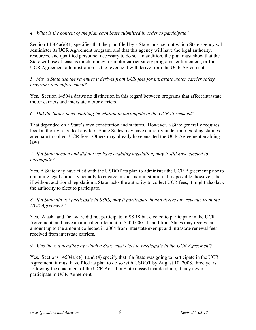#### *4. What is the content of the plan each State submitted in order to participate?*

Section  $14504a(e)(1)$  specifies that the plan filed by a State must set out which State agency will administer its UCR Agreement program, and that this agency will have the legal authority, resources, and qualified personnel necessary to do so. In addition, the plan must show that the State will use at least as much money for motor carrier safety programs, enforcement, or for UCR Agreement administration as the revenue it will derive from the UCR Agreement.

#### *5. May a State use the revenues it derives from UCR fees for intrastate motor carrier safety programs and enforcement?*

Yes. Section 14504a draws no distinction in this regard between programs that affect intrastate motor carriers and interstate motor carriers.

#### *6. Did the States need enabling legislation to participate in the UCR Agreement?*

That depended on a State's own constitution and statutes. However, a State generally requires legal authority to collect any fee. Some States may have authority under their existing statutes adequate to collect UCR fees. Others may already have enacted the UCR Agreement enabling laws.

#### *7. If a State needed and did not yet have enabling legislation, may it still have elected to participate?*

Yes. A State may have filed with the USDOT its plan to administer the UCR Agreement prior to obtaining legal authority actually to engage in such administration. It is possible, however, that if without additional legislation a State lacks the authority to collect UCR fees, it might also lack the authority to elect to participate.

#### *8. If a State did not participate in SSRS, may it participate in and derive any revenue from the UCR Agreement?*

Yes. Alaska and Delaware did not participate in SSRS but elected to participate in the UCR Agreement, and have an annual entitlement of \$500,000. In addition, States may receive an amount up to the amount collected in 2004 from interstate exempt and intrastate renewal fees received from interstate carriers.

#### *9. Was there a deadline by which a State must elect to participate in the UCR Agreement?*

Yes. Sections 14504a(e)(1) and (4) specify that if a State was going to participate in the UCR Agreement, it must have filed its plan to do so with USDOT by August 10, 2008, three years following the enactment of the UCR Act. If a State missed that deadline, it may never participate in UCR Agreement.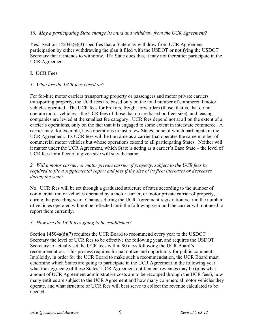#### <span id="page-10-0"></span>*10. May a participating State change its mind and withdraw from the UCR Agreement?*

Yes. Section 14504a(e)(3) specifies that a State may withdraw from UCR Agreement participation by either withdrawing the plan it filed with the USDOT or notifying the USDOT Secretary that it intends to withdraw. If a State does this, it may not thereafter participate in the UCR Agreement.

#### <span id="page-10-1"></span>**I. UCR Fees**

#### *1. What are the UCR fees based on?*

For for-hire motor carriers transporting property or passengers and motor private carriers transporting property, the UCR fees are based only on the total number of commercial motor vehicles operated. The UCR fees for brokers, freight forwarders (those, that is, that do not operate motor vehicles – the UCR fees of those that do are based on fleet size), and leasing companies are levied at the smallest fee category. UCR fees depend not at all on the extent of a carrier's operations, only on the fact that it is engaged to some extent in interstate commerce. A carrier may, for example, have operations in just a few States, none of which participate in the UCR Agreement. Its UCR fees will be the same as a carrier that operates the same number of commercial motor vehicles but whose operations extend to all participating States. Neither will it matter under the UCR Agreement, which State is acting as a carrier's Base State – the level of UCR fees for a fleet of a given size will stay the same.

#### *2. Will a motor carrier, or motor private carrier of property, subject to the UCR fees be required to file a supplemental report and fees if the size of its fleet increases or decreases during the year?*

No. UCR fees will be set through a graduated structure of rates according to the number of commercial motor vehicles operated by a motor carrier, or motor private carrier of property, during the preceding year. Changes during the UCR Agreement registration year in the number of vehicles operated will not be reflected until the following year and the carrier will not need to report them currently.

#### *3. How are the UCR fees going to be established?*

Section 14504a(d)(7) requires the UCR Board to recommend every year to the USDOT Secretary the level of UCR fees to be effective the following year, and requires the USDOT Secretary to actually set the UCR fees within 90 days following the UCR Board's recommendation. This process requires formal notice and opportunity for public comment. Implicitly, in order for the UCR Board to make such a recommendation, the UCR Board must determine which States are going to participate in the UCR Agreement in the following year, what the aggregate of these States' UCR Agreement entitlement revenues may be (plus what amount of UCR Agreement administrative costs are to be recouped through the UCR fees), how many entities are subject to the UCR Agreement and how many commercial motor vehicles they operate, and what structure of UCR fees will best serve to collect the revenue calculated to be needed.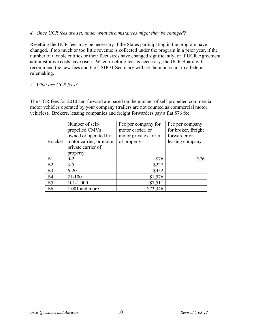#### *4. Once UCR fees are set, under what circumstances might they be changed?*

Resetting the UCR fees may be necessary if the States participating in the program have changed, if too much or too little revenue is collected under the program in a prior year, if the number of taxable entities or their fleet sizes have changed significantly, or if UCR Agreement administrative costs have risen. When resetting fees is necessary, the UCR Board will recommend the new fees and the USDOT Secretary will set them pursuant to a federal rulemaking.

#### *5. What are UCR fees?*

The UCR fees for 2010 and forward are based on the number of self-propelled commercial motor vehicles operated by your company (trailers are not counted as commercial motor vehicles). Brokers, leasing companies and freight forwarders pay a flat \$76 fee.

| <b>Bracket</b> | Number of self-<br>propelled CMVs<br>owned or operated by<br>motor carrier, or motor<br>private carrier of<br>property | Fee per company for<br>motor carrier, or<br>motor private carrier<br>of property | Fee per company<br>for broker, freight<br>forwarder or<br>leasing company |
|----------------|------------------------------------------------------------------------------------------------------------------------|----------------------------------------------------------------------------------|---------------------------------------------------------------------------|
| B1             | $0 - 2$                                                                                                                | \$76                                                                             | \$76                                                                      |
| B <sub>2</sub> | $3 - 5$                                                                                                                | \$227                                                                            |                                                                           |
| B <sub>3</sub> | $6 - 20$                                                                                                               | \$452                                                                            |                                                                           |
| B <sub>4</sub> | $21 - 100$                                                                                                             | \$1,576                                                                          |                                                                           |
| B <sub>5</sub> | $101 - 1,000$                                                                                                          | \$7,511                                                                          |                                                                           |
| <b>B6</b>      | $1,001$ and more                                                                                                       | \$73,346                                                                         |                                                                           |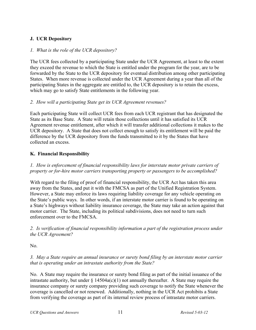## <span id="page-12-0"></span>**J. UCR Depository**

#### *1. What is the role of the UCR depository?*

The UCR fees collected by a participating State under the UCR Agreement, at least to the extent they exceed the revenue to which the State is entitled under the program for the year, are to be forwarded by the State to the UCR depository for eventual distribution among other participating States. When more revenue is collected under the UCR Agreement during a year than all of the participating States in the aggregate are entitled to, the UCR depository is to retain the excess, which may go to satisfy State entitlements in the following year.

#### *2. How will a participating State get its UCR Agreement revenues?*

Each participating State will collect UCR fees from each UCR registrant that has designated the State as its Base State. A State will retain those collections until it has satisfied its UCR Agreement revenue entitlement, after which it will transfer additional collections it makes to the UCR depository. A State that does not collect enough to satisfy its entitlement will be paid the difference by the UCR depository from the funds transmitted to it by the States that have collected an excess.

#### <span id="page-12-2"></span>**K. Financial Responsibility**

*1. How is enforcement of financial responsibility laws for interstate motor private carriers of property or for-hire motor carriers transporting property or passengers to be accomplished?*

<span id="page-12-1"></span>With regard to the filing of proof of financial responsibility, the UCR Act has taken this area away from the States, and put it with the FMCSA as part of the Unified Registration System. However, a State may enforce its laws requiring liability coverage for any vehicle operating on the State's public ways. In other words, if an interstate motor carrier is found to be operating on a State's highways without liability insurance coverage, the State may take an action against that motor carrier. The State, including its political subdivisions, does not need to turn such enforcement over to the FMCSA.

*2. Is verification of financial responsibility information a part of the registration process under the UCR Agreement?*

No.

*3. May a State require an annual insurance or surety bond filing by an interstate motor carrier that is operating under an intrastate authority from the State?*

No. A State may require the insurance or surety bond filing as part of the initial issuance of the intrastate authority, but under  $\S$  14504a(c)(1) not annually thereafter. A State may require the insurance company or surety company providing such coverage to notify the State whenever the coverage is cancelled or not renewed. Additionally, nothing in the UCR Act prohibits a State from verifying the coverage as part of its internal review process of intrastate motor carriers.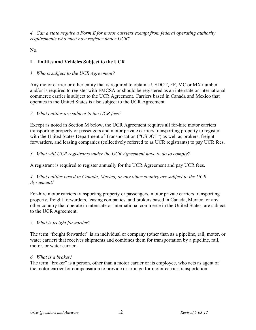<span id="page-13-0"></span>*4. Can a state require a Form E for motor carriers exempt from federal operating authority requirements who must now register under UCR?* 

No.

## <span id="page-13-1"></span>**L. Entities and Vehicles Subject to the UCR**

#### *1. Who is subject to the UCR Agreement?*

Any motor carrier or other entity that is required to obtain a USDOT, FF, MC or MX number and/or is required to register with FMCSA or should be registered as an interstate or international commerce carrier is subject to the UCR Agreement. Carriers based in Canada and Mexico that operates in the United States is also subject to the UCR Agreement.

#### *2. What entities are subject to the UCR fees?*

Except as noted in Section M below, the UCR Agreement requires all for-hire motor carriers transporting property or passengers and motor private carriers transporting property to register with the United States Department of Transportation ("USDOT") as well as brokers, freight forwarders, and leasing companies (collectively referred to as UCR registrants) to pay UCR fees.

#### *3. What will UCR registrants under the UCR Agreement have to do to comply?*

A registrant is required to register annually for the UCR Agreement and pay UCR fees.

#### *4. What entities based in Canada, Mexico, or any other country are subject to the UCR Agreement?*

For-hire motor carriers transporting property or passengers, motor private carriers transporting property, freight forwarders, leasing companies, and brokers based in Canada, Mexico, or any other country that operate in interstate or international commerce in the United States, are subject to the UCR Agreement.

#### *5. What is freight forwarder?*

The term "freight forwarder" is an individual or company (other than as a pipeline, rail, motor, or water carrier) that receives shipments and combines them for transportation by a pipeline, rail, motor, or water carrier.

#### *6. What is a broker?*

The term "broker" is a person, other than a motor carrier or its employee, who acts as agent of the motor carrier for compensation to provide or arrange for motor carrier transportation.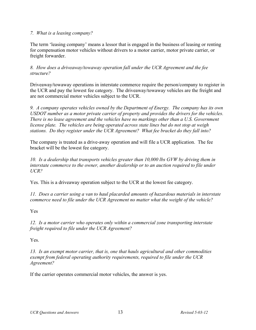#### *7. What is a leasing company?*

The term 'leasing company' means a lessor that is engaged in the business of leasing or renting for compensation motor vehicles without drivers to a motor carrier, motor private carrier, or freight forwarder.

*8. How does a driveaway/towaway operation fall under the UCR Agreement and the fee structure?* 

Driveaway/towaway operations in interstate commerce require the person/company to register in the UCR and pay the lowest fee category. The driveaway/towaway vehicles are the freight and are not commercial motor vehicles subject to the UCR.

*9. A company operates vehicles owned by the Department of Energy. The company has its own USDOT number as a motor private carrier of property and provides the drivers for the vehicles. There is no lease agreement and the vehicles have no markings other than a U.S. Government license plate. The vehicles are being operated across state lines but do not stop at weigh stations. Do they register under the UCR Agreement? What fee bracket do they fall into?* 

The company is treated as a drive-away operation and will file a UCR application. The fee bracket will be the lowest fee category.

*10. Is a dealership that transports vehicles greater than 10,000 lbs GVW by driving them in interstate commerce to the owner, another dealership or to an auction required to file under UCR?*

Yes. This is a driveaway operation subject to the UCR at the lowest fee category.

*11. Does a carrier using a van to haul placarded amounts of hazardous materials in interstate commerce need to file under the UCR Agreement no matter what the weight of the vehicle?* 

Yes

*12. Is a motor carrier who operates only within a commercial zone transporting interstate freight required to file under the UCR Agreement?* 

Yes.

*13. Is an exempt motor carrier, that is, one that hauls agricultural and other commodities exempt from federal operating authority requirements, required to file under the UCR Agreement?* 

If the carrier operates commercial motor vehicles, the answer is yes.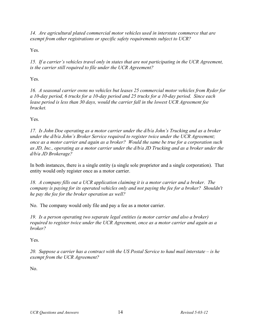*14. Are agricultural plated commercial motor vehicles used in interstate commerce that are exempt from other registrations or specific safety requirements subject to UCR?*

Yes.

*15. If a carrier's vehicles travel only in states that are not participating in the UCR Agreement, is the carrier still required to file under the UCR Agreement?* 

Yes.

*16. A seasonal carrier owns no vehicles but leases 25 commercial motor vehicles from Ryder for a 10-day period, 6 trucks for a 10-day period and 25 trucks for a 10-day period. Since each lease period is less than 30 days, would the carrier fall in the lowest UCR Agreement fee bracket.* 

Yes.

*17. Is John Doe operating as a motor carrier under the d/b/a John's Trucking and as a broker under the d/b/a John's Broker Service required to register twice under the UCR Agreement; once as a motor carrier and again as a broker? Would the same be true for a corporation such as JD, Inc., operating as a motor carrier under the d/b/a JD Trucking and as a broker under the d/b/a JD Brokerage?* 

In both instances, there is a single entity (a single sole proprietor and a single corporation). That entity would only register once as a motor carrier.

*18. A company fills out a UCR application claiming it is a motor carrier and a broker. The company is paying for its operated vehicles only and not paying the fee for a broker? Shouldn't he pay the fee for the broker operation as well?* 

No. The company would only file and pay a fee as a motor carrier.

*19. Is a person operating two separate legal entities (a motor carrier and also a broker) required to register twice under the UCR Agreement, once as a motor carrier and again as a broker?* 

Yes.

*20. Suppose a carrier has a contract with the US Postal Service to haul mail interstate – is he exempt from the UCR Agreement?* 

No.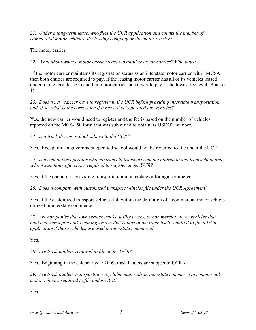*21. Under a long-term lease, who files the UCR application and counts the number of commercial motor vehicles, the leasing company or the motor carrier?* 

The motor carrier.

*22. What about when a motor carrier leases to another motor carrier? Who pays?* 

 If the motor carrier maintains its registration status as an interstate motor carrier with FMCSA then both entities are required to pay. If the leasing motor carrier has all of its vehicles leased under a long term lease to another motor carrier then it would pay at the lowest fee level (Bracket 1).

*23. Does a new carrier have to register in the UCR before providing interstate transportation and, if so, what is the correct fee if it has not yet operated any vehicles?* 

Yes, the new carrier would need to register and the fee is based on the number of vehicles reported on the MCS-150 form that was submitted to obtain its USDOT number.

*24. Is a truck driving school subject to the UCR?*

Yes. Exception – a government operated school would not be required to file under the UCR.

*25. Is a school bus operator who contracts to transport school children to and from school and school sanctioned functions required to register under UCR?* 

Yes, if the operator is providing transportation in interstate or foreign commerce.

*26. Does a company with customized transport vehicles file under the UCR Agreement?* 

Yes, if the customized transport vehicles fall within the definition of a commercial motor vehicle utilized in interstate commerce.

*27. Are companies that own service trucks, utility trucks, or commercial motor vehicles that haul a sewer/septic tank cleaning system that is part of the truck itself required to file a UCR application if those vehicles are used in interstate commerce?*

Yes.

*28. Are trash haulers required to file under UCR?* 

Yes. Beginning in the calendar year 2009, trash haulers are subject to UCRA.

*29. Are trash haulers transporting recyclable materials in interstate commerce in commercial motor vehicles required to file under UCR?* 

Yes.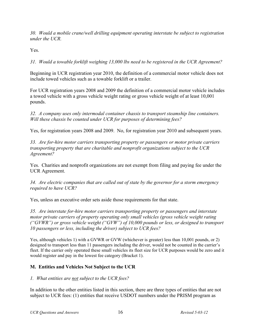<span id="page-17-0"></span>*30. Would a mobile crane/well drilling equipment operating interstate be subject to registration under the UCR.*

Yes.

*31. Would a towable forklift weighing 13,000 lbs need to be registered in the UCR Agreement?* 

Beginning in UCR registration year 2010, the definition of a commercial motor vehicle does not include towed vehicles such as a towable forklift or a trailer.

For UCR registration years 2008 and 2009 the definition of a commercial motor vehicle includes a towed vehicle with a gross vehicle weight rating or gross vehicle weight of at least 10,001 pounds.

*32. A company uses only intermodal container chassis to transport steamship line containers. Will these chassis be counted under UCR for purposes of determining fees?* 

Yes, for registration years 2008 and 2009. No, for registration year 2010 and subsequent years.

*33. Are for-hire motor carriers transporting property or passengers or motor private carriers transporting property that are charitable and nonprofit organizations subject to the UCR Agreement?*

Yes. Charities and nonprofit organizations are not exempt from filing and paying fee under the UCR Agreement.

*34. Are electric companies that are called out of state by the governor for a storm emergency required to have UCR?* 

Yes, unless an executive order sets aside those requirements for that state.

*35. Are interstate for-hire motor carriers transporting property or passengers and interstate motor private carriers of property operating only small vehicles (gross vehicle weight rating ("GVWR") or gross vehicle weight ("GVW") of 10,000 pounds or less, or designed to transport 10 passengers or less, including the driver) subject to UCR fees?*

Yes, although vehicles 1) with a GVWR or GVW (whichever is greater) less than 10,001 pounds, or 2) designed to transport less than 11 passengers including the driver, would not be counted in the carrier's fleet. If the carrier only operated these small vehicles its fleet size for UCR purposes would be zero and it would register and pay in the lowest fee category (Bracket 1).

## <span id="page-17-1"></span>**M. Entities and Vehicles Not Subject to the UCR**

## *1. What entities are not subject to the UCR fees?*

In addition to the other entities listed in this section, there are three types of entities that are not subject to UCR fees: (1) entities that receive USDOT numbers under the PRISM program as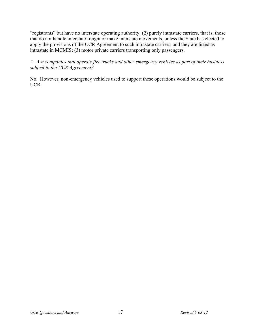"registrants" but have no interstate operating authority; (2) purely intrastate carriers, that is, those that do not handle interstate freight or make interstate movements, unless the State has elected to apply the provisions of the UCR Agreement to such intrastate carriers, and they are listed as intrastate in MCMIS; (3) motor private carriers transporting only passengers.

*2. Are companies that operate fire trucks and other emergency vehicles as part of their business subject to the UCR Agreement?* 

No. However, non-emergency vehicles used to support these operations would be subject to the UCR.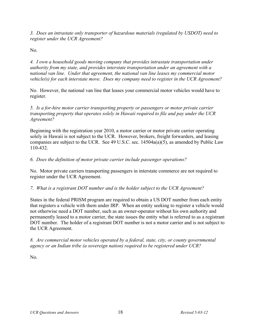*3. Does an intrastate only transporter of hazardous materials (regulated by USDOT) need to register under the UCR Agreement?* 

No.

*4. I own a household goods moving company that provides intrastate transportation under authority from my state, and provides interstate transportation under an agreement with a national van line. Under that agreement, the national van line leases my commercial motor vehicle(s) for each interstate move. Does my company need to register in the UCR Agreement?* 

No. However, the national van line that leases your commercial motor vehicles would have to register.

*5. Is a for-hire motor carrier transporting property or passengers or motor private carrier transporting property that operates solely in Hawaii required to file and pay under the UCR Agreement?*

Beginning with the registration year 2010, a motor carrier or motor private carrier operating solely in Hawaii is not subject to the UCR. However, brokers, freight forwarders, and leasing companies are subject to the UCR. See 49 U.S.C. sec. 14504a(a)(5), as amended by Public Law 110-432.

## *6. Does the definition of motor private carrier include passenger operations?*

No. Motor private carriers transporting passengers in interstate commerce are not required to register under the UCR Agreement.

#### *7. What is a registrant DOT number and is the holder subject to the UCR Agreement?*

States in the federal PRISM program are required to obtain a US DOT number from each entity that registers a vehicle with them under IRP. When an entity seeking to register a vehicle would not otherwise need a DOT number, such as an owner-operator without his own authority and permanently leased to a motor carrier, the state issues the entity what is referred to as a registrant DOT number. The holder of a registrant DOT number is not a motor carrier and is not subject to the UCR Agreement.

*8. Are commercial motor vehicles operated by a federal, state, city, or county governmental agency or an Indian tribe (a sovereign nation) required to be registered under UCR?* 

No.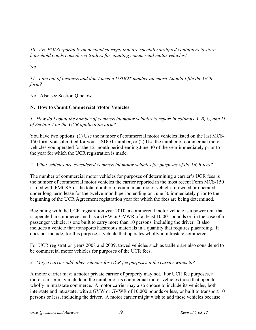<span id="page-20-0"></span>*10. Are PODS (portable on demand storage) that are specially designed containers to store household goods considered trailers for counting commercial motor vehicles?* 

No.

*11. I am out of business and don't need a USDOT number anymore. Should I file the UCR form?* 

No. Also see Section Q below.

#### <span id="page-20-1"></span>**N. How to Count Commercial Motor Vehicles**

*1. How do I count the number of commercial motor vehicles to report in columns A, B, C, and D of Section 4 on the UCR application form?* 

You have two options: (1) Use the number of commercial motor vehicles listed on the last MCS-150 form you submitted for your USDOT number; or (2) Use the number of commercial motor vehicles you operated for the 12-month period ending June 30 of the year immediately prior to the year for which the UCR registration is made.

#### *2. What vehicles are considered commercial motor vehicles for purposes of the UCR fees?*

The number of commercial motor vehicles for purposes of determining a carrier's UCR fees is the number of commercial motor vehicles the carrier reported in the most recent Form MCS-150 it filed with FMCSA or the total number of commercial motor vehicles it owned or operated under long-term lease for the twelve-month period ending on June 30 immediately prior to the beginning of the UCR Agreement registration year for which the fees are being determined.

Beginning with the UCR registration year 2010, a commercial motor vehicle is a power unit that is operated in commerce and has a GVW or GVWR of at least 10,001 pounds or, in the case of a passenger vehicle, is one built to carry more than 10 persons, including the driver. It also includes a vehicle that transports hazardous materials in a quantity that requires placarding. It does not include, for this purpose, a vehicle that operates wholly in intrastate commerce.

For UCR registration years 2008 and 2009, towed vehicles such as trailers are also considered to be commercial motor vehicles for purposes of the UCR fees.

## *3. May a carrier add other vehicles for UCR fee purposes if the carrier wants to?*

A motor carrier may; a motor private carrier of property may not. For UCR fee purposes, a motor carrier may include in the number of its commercial motor vehicles those that operate wholly in intrastate commerce. A motor carrier may also choose to include its vehicles, both interstate and intrastate, with a GVW or GVWR of 10,000 pounds or less, or built to transport 10 persons or less, including the driver. A motor carrier might wish to add these vehicles because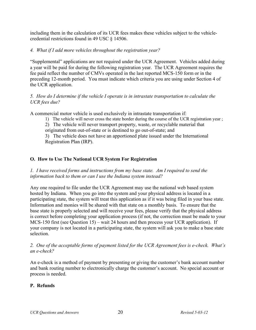<span id="page-21-0"></span>including them in the calculation of its UCR fees makes these vehicles subject to the vehiclecredential restrictions found in 49 USC § 14506.

#### *4. What if I add more vehicles throughout the registration year?*

"Supplemental" applications are not required under the UCR Agreement. Vehicles added during a year will be paid for during the following registration year. The UCR Agreement requires the fee paid reflect the number of CMVs operated in the last reported MCS-150 form or in the preceding 12-month period. You must indicate which criteria you are using under Section 4 of the UCR application.

#### *5. How do I determine if the vehicle I operate is in intrastate transportation to calculate the UCR fees due?*

A commercial motor vehicle is used exclusively in intrastate transportation if:

- 1) The vehicle will never cross the state border during the course of the UCR registration year ;
- 2) The vehicle will never transport property, waste, or recyclable material that
- originated from out-of-state or is destined to go out-of-state; and

3) The vehicle does not have an apportioned plate issued under the International Registration Plan (IRP).

## <span id="page-21-1"></span>**O. How to Use The National UCR System For Registration**

*1. I have received forms and instructions from my base state. Am I required to send the information back to them or can I use the Indiana system instead?* 

Any one required to file under the UCR Agreement may use the national web based system hosted by Indiana. When you go into the system and your physical address is located in a participating state, the system will treat this application as if it was being filed in your base state. Information and monies will be shared with that state on a monthly basis. To ensure that the base state is properly selected and will receive your fees, please verify that the physical address is correct before completing your application process (if not, the correction must be made to your MCS-150 first (see Question 15) – wait 24 hours and then process your UCR application). If your company is not located in a participating state, the system will ask you to make a base state selection.

*2. One of the acceptable forms of payment listed for the UCR Agreement fees is e-check. What's an e-check?* 

An e-check is a method of payment by presenting or giving the customer's bank account number and bank routing number to electronically charge the customer's account. No special account or process is needed.

## <span id="page-21-2"></span>**P. Refunds**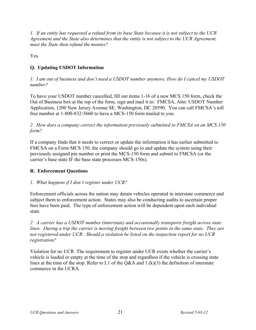<span id="page-22-0"></span>*1. If an entity has requested a refund from its base State because it is not subject to the UCR Agreement and the State also determines that the entity is not subject to the UCR Agreement, must the State then refund the monies?*

Yes.

## <span id="page-22-1"></span>**Q. Updating USDOT Information**

#### *1. I am out of business and don't need a USDOT number anymore. How do I cancel my USDOT number?*

To have your USDOT number cancelled, fill out items 1-16 of a new MCS 150 form, check the Out of Business box at the top of the form, sign and mail it to: FMCSA, Attn: USDOT Number Application, 1200 New Jersey Avenue SE, Washington, DC 20590. You can call FMCSA's toll free number at 1-800-832-5660 to have a MCS-150 form mailed to you.

#### *2. How does a company correct the information previously submitted to FMCSA on an MCS 150 form?*

If a company finds that it needs to correct or update the information it has earlier submitted to FMCSA on a Form MCS 150, the company should go to and update the system using their previously assigned pin number or print the MCS-150 form and submit to FMCSA (or the carrier's base state IF the base state processes MCS-150s).

## <span id="page-22-2"></span>**R. Enforcement Questions**

## *1. What happens if I don't register under UCR?*

Enforcement officials across the nation may detain vehicles operated in interstate commerce and subject them to enforcement action. States may also be conducting audits to ascertain proper fees have been paid. The type of enforcement action will be dependent upon each individual state.

*2. A carrier has a USDOT number (interstate) and occasionally transports freight across state lines. During a trip the carrier is moving freight between two points in the same state. They are not registered under UCR. Should a violation be listed on the inspection report for no UCR registration?* 

Violation for no UCR. The requirement to register under UCR exists whether the carrier's vehicle is loaded or empty at the time of the stop and regardless if the vehicle is crossing state lines at the time of the stop. Refer to L1 of the Q&A and  $1.(k)(3)$  the definition of interstate commerce in the UCRA.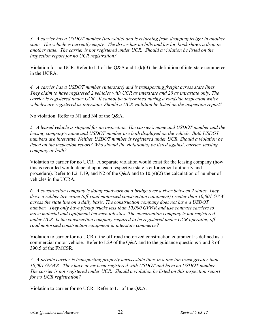*3. A carrier has a USDOT number (interstate) and is returning from dropping freight in another state. The vehicle is currently empty. The driver has no bills and his log book shows a drop in another state. The carrier is not registered under UCR. Should a violation be listed on the inspection report for no UCR registration?* 

Violation for no UCR. Refer to L1 of the Q&A and  $1.(k)(3)$  the definition of interstate commerce in the UCRA.

*4. A carrier has a USDOT number (interstate) and is transporting freight across state lines. They claim to have registered 2 vehicles with UCR as interstate and 20 as intrastate only. The carrier is registered under UCR. It cannot be determined during a roadside inspection which vehicles are registered as interstate. Should a UCR violation be listed on the inspection report?* 

No violation. Refer to N1 and N4 of the Q&A.

*5. A leased vehicle is stopped for an inspection. The carrier's name and USDOT number and the leasing company's name and USDOT number are both displayed on the vehicle. Both USDOT numbers are interstate. Neither USDOT number is registered under UCR. Should a violation be listed on the inspection report? Who should the violation(s) be listed against, carrier, leasing company or both?* 

Violation to carrier for no UCR. A separate violation would exist for the leasing company (how this is recorded would depend upon each respective state's enforcement authority and procedure). Refer to L2, L19, and N2 of the Q&A and to 10.(e)(2) the calculation of number of vehicles in the UCRA.

*6. A construction company is doing roadwork on a bridge over a river between 2 states. They drive a rubber tire crane (off-road motorized construction equipment) greater than 10,001 GVW across the state line on a daily basis. The construction company does not have a USDOT number. They only have pickup trucks less than 10,000 GVWR and use contract carriers to move material and equipment between job sites. The construction company is not registered under UCR. Is the construction company required to be registered under UCR operating offroad motorized construction equipment in interstate commerce?* 

Violation to carrier for no UCR if the off-road motorized construction equipment is defined as a commercial motor vehicle. Refer to L29 of the Q&A and to the guidance questions 7 and 8 of 390.5 of the FMCSR.

*7. A private carrier is transporting property across state lines in a one ton truck greater than 10,001 GVWR. They have never been registered with USDOT and have no USDOT number. The carrier is not registered under UCR. Should a violation be listed on this inspection report for no UCR registration?* 

Violation to carrier for no UCR. Refer to L1 of the Q&A.